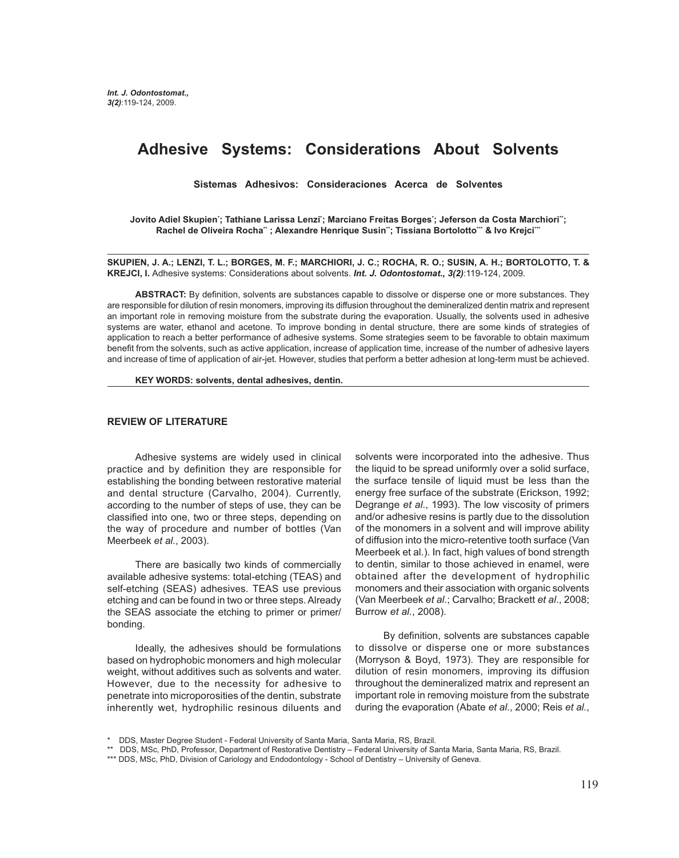# **Adhesive Systems: Considerations About Solvents**

**Sistemas Adhesivos: Consideraciones Acerca de Solventes**

Jovito Adiel Skupien'; Tathiane Larissa Lenzi'; Marciano Freitas Borges'; Jeferson da Costa Marchiori''; Rachel de Oliveira Rocha\*\*; Alexandre Henrique Susin\*\*; Tissiana Bortolotto\*\*\* & Ivo Krejci\*\*\*

**SKUPIEN, J. A.; LENZI, T. L.; BORGES, M. F.; MARCHIORI, J. C.; ROCHA, R. O.; SUSIN, A. H.; BORTOLOTTO, T. & KREJCI, I.** Adhesive systems: Considerations about solvents. *Int. J. Odontostomat., 3(2)*:119-124, 2009.

**ABSTRACT:** By definition, solvents are substances capable to dissolve or disperse one or more substances. They are responsible for dilution of resin monomers, improving its diffusion throughout the demineralized dentin matrix and represent an important role in removing moisture from the substrate during the evaporation. Usually, the solvents used in adhesive systems are water, ethanol and acetone. To improve bonding in dental structure, there are some kinds of strategies of application to reach a better performance of adhesive systems. Some strategies seem to be favorable to obtain maximum benefit from the solvents, such as active application, increase of application time, increase of the number of adhesive layers and increase of time of application of air-jet. However, studies that perform a better adhesion at long-term must be achieved.

### **KEY WORDS: solvents, dental adhesives, dentin.**

### **REVIEW OF LITERATURE**

Adhesive systems are widely used in clinical practice and by definition they are responsible for establishing the bonding between restorative material and dental structure (Carvalho, 2004). Currently, according to the number of steps of use, they can be classified into one, two or three steps, depending on the way of procedure and number of bottles (Van Meerbeek *et al.*, 2003).

There are basically two kinds of commercially available adhesive systems: total-etching (TEAS) and self-etching (SEAS) adhesives. TEAS use previous etching and can be found in two or three steps. Already the SEAS associate the etching to primer or primer/ bonding.

Ideally, the adhesives should be formulations based on hydrophobic monomers and high molecular weight, without additives such as solvents and water. However, due to the necessity for adhesive to penetrate into microporosities of the dentin, substrate inherently wet, hydrophilic resinous diluents and

solvents were incorporated into the adhesive. Thus the liquid to be spread uniformly over a solid surface, the surface tensile of liquid must be less than the energy free surface of the substrate (Erickson, 1992; Degrange *et al*., 1993). The low viscosity of primers and/or adhesive resins is partly due to the dissolution of the monomers in a solvent and will improve ability of diffusion into the micro-retentive tooth surface (Van Meerbeek et al.). In fact, high values of bond strength to dentin, similar to those achieved in enamel, were obtained after the development of hydrophilic monomers and their association with organic solvents (Van Meerbeek *et al*.; Carvalho; Brackett *et al*., 2008; Burrow *et al.*, 2008).

By definition, solvents are substances capable to dissolve or disperse one or more substances (Morryson & Boyd, 1973). They are responsible for dilution of resin monomers, improving its diffusion throughout the demineralized matrix and represent an important role in removing moisture from the substrate during the evaporation (Abate *et al*., 2000; Reis *et al.*,

<sup>\*</sup> DDS, Master Degree Student - Federal University of Santa Maria, Santa Maria, RS, Brazil.

<sup>\*\*</sup> DDS, MSc, PhD, Professor, Department of Restorative Dentistry – Federal University of Santa Maria, Santa Maria, RS, Brazil.

<sup>\*\*\*</sup> DDS, MSc, PhD, Division of Cariology and Endodontology - School of Dentistry – University of Geneva.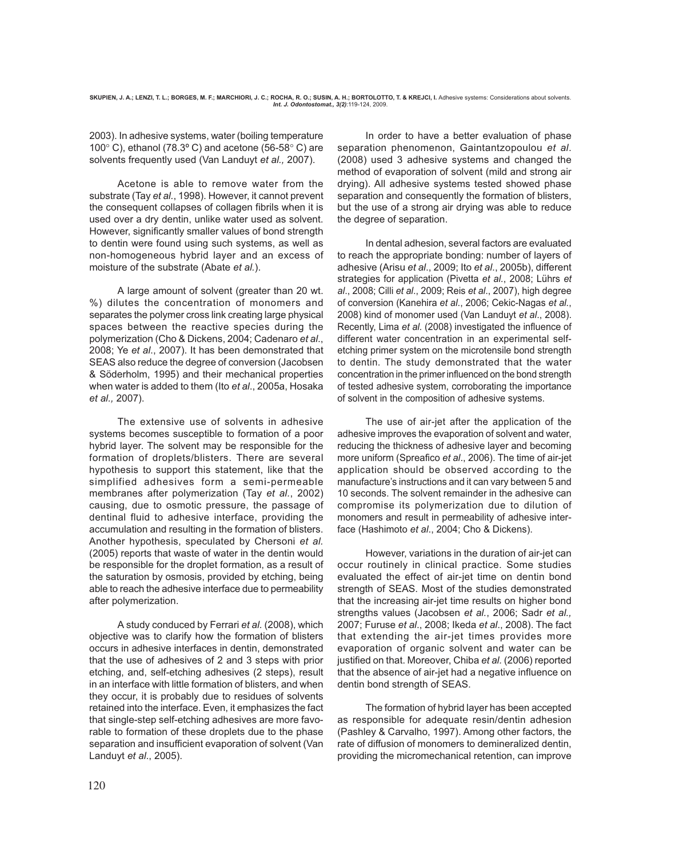2003). In adhesive systems, water (boiling temperature 100 $^{\circ}$  C), ethanol (78.3 $^{\circ}$  C) and acetone (56-58 $^{\circ}$  C) are solvents frequently used (Van Landuyt *et al.,* 2007).

Acetone is able to remove water from the substrate (Tay *et al.*, 1998). However, it cannot prevent the consequent collapses of collagen fibrils when it is used over a dry dentin, unlike water used as solvent. However, significantly smaller values of bond strength to dentin were found using such systems, as well as non-homogeneous hybrid layer and an excess of moisture of the substrate (Abate *et al.*).

A large amount of solvent (greater than 20 wt. %) dilutes the concentration of monomers and separates the polymer cross link creating large physical spaces between the reactive species during the polymerization (Cho & Dickens, 2004; Cadenaro *et al*., 2008; Ye *et al*., 2007). It has been demonstrated that SEAS also reduce the degree of conversion (Jacobsen & Söderholm, 1995) and their mechanical properties when water is added to them (Ito *et al*., 2005a, Hosaka *et al.,* 2007).

The extensive use of solvents in adhesive systems becomes susceptible to formation of a poor hybrid layer. The solvent may be responsible for the formation of droplets/blisters. There are several hypothesis to support this statement, like that the simplified adhesives form a semi-permeable membranes after polymerization (Tay *et al.*, 2002) causing, due to osmotic pressure, the passage of dentinal fluid to adhesive interface, providing the accumulation and resulting in the formation of blisters. Another hypothesis, speculated by Chersoni *et al.* (2005) reports that waste of water in the dentin would be responsible for the droplet formation, as a result of the saturation by osmosis, provided by etching, being able to reach the adhesive interface due to permeability after polymerization.

A study conduced by Ferrari *et al.* (2008), which objective was to clarify how the formation of blisters occurs in adhesive interfaces in dentin, demonstrated that the use of adhesives of 2 and 3 steps with prior etching, and, self-etching adhesives (2 steps), result in an interface with little formation of blisters, and when they occur, it is probably due to residues of solvents retained into the interface. Even, it emphasizes the fact that single-step self-etching adhesives are more favorable to formation of these droplets due to the phase separation and insufficient evaporation of solvent (Van Landuyt *et al*., 2005).

 In order to have a better evaluation of phase separation phenomenon, Gaintantzopoulou *et al*. (2008) used 3 adhesive systems and changed the method of evaporation of solvent (mild and strong air drying). All adhesive systems tested showed phase separation and consequently the formation of blisters, but the use of a strong air drying was able to reduce the degree of separation.

In dental adhesion, several factors are evaluated to reach the appropriate bonding: number of layers of adhesive (Arisu *et al*., 2009; Ito *et al*., 2005b), different strategies for application (Pivetta *et al.*, 2008; Lührs *et al*., 2008; Cilli *et al*., 2009; Reis *et al*., 2007), high degree of conversion (Kanehira *et al*., 2006; Cekic-Nagas *et al.*, 2008) kind of monomer used (Van Landuyt *et al*., 2008). Recently, Lima *et al.* (2008) investigated the influence of different water concentration in an experimental selfetching primer system on the microtensile bond strength to dentin. The study demonstrated that the water concentration in the primer influenced on the bond strength of tested adhesive system, corroborating the importance of solvent in the composition of adhesive systems.

The use of air-jet after the application of the adhesive improves the evaporation of solvent and water, reducing the thickness of adhesive layer and becoming more uniform (Spreafico *et al*., 2006). The time of air-jet application should be observed according to the manufacture's instructions and it can vary between 5 and 10 seconds. The solvent remainder in the adhesive can compromise its polymerization due to dilution of monomers and result in permeability of adhesive interface (Hashimoto *et al*., 2004; Cho & Dickens).

However, variations in the duration of air-jet can occur routinely in clinical practice. Some studies evaluated the effect of air-jet time on dentin bond strength of SEAS. Most of the studies demonstrated that the increasing air-jet time results on higher bond strengths values (Jacobsen *et al.*, 2006; Sadr *et al.,* 2007; Furuse *et al*., 2008; Ikeda *et al*., 2008). The fact that extending the air-jet times provides more evaporation of organic solvent and water can be justified on that. Moreover, Chiba *et al.* (2006) reported that the absence of air-jet had a negative influence on dentin bond strength of SEAS.

The formation of hybrid layer has been accepted as responsible for adequate resin/dentin adhesion (Pashley & Carvalho, 1997). Among other factors, the rate of diffusion of monomers to demineralized dentin, providing the micromechanical retention, can improve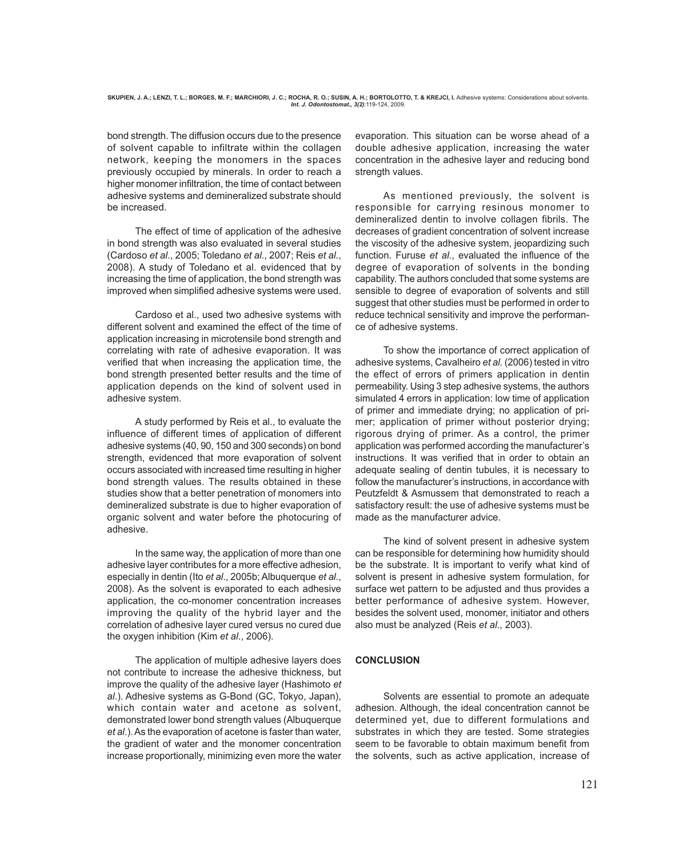bond strength. The diffusion occurs due to the presence of solvent capable to infiltrate within the collagen network, keeping the monomers in the spaces previously occupied by minerals. In order to reach a higher monomer infiltration, the time of contact between adhesive systems and demineralized substrate should be increased.

The effect of time of application of the adhesive in bond strength was also evaluated in several studies (Cardoso *et al*., 2005; Toledano *et al.*, 2007; Reis *et al.*, 2008). A study of Toledano et al. evidenced that by increasing the time of application, the bond strength was improved when simplified adhesive systems were used.

Cardoso et al., used two adhesive systems with different solvent and examined the effect of the time of application increasing in microtensile bond strength and correlating with rate of adhesive evaporation. It was verified that when increasing the application time, the bond strength presented better results and the time of application depends on the kind of solvent used in adhesive system.

A study performed by Reis et al., to evaluate the influence of different times of application of different adhesive systems (40, 90, 150 and 300 seconds) on bond strength, evidenced that more evaporation of solvent occurs associated with increased time resulting in higher bond strength values. The results obtained in these studies show that a better penetration of monomers into demineralized substrate is due to higher evaporation of organic solvent and water before the photocuring of adhesive.

In the same way, the application of more than one adhesive layer contributes for a more effective adhesion, especially in dentin (Ito *et al*., 2005b; Albuquerque *et al.*, 2008). As the solvent is evaporated to each adhesive application, the co-monomer concentration increases improving the quality of the hybrid layer and the correlation of adhesive layer cured versus no cured due the oxygen inhibition (Kim *et al*., 2006).

The application of multiple adhesive layers does not contribute to increase the adhesive thickness, but improve the quality of the adhesive layer (Hashimoto *et al*.). Adhesive systems as G-Bond (GC, Tokyo, Japan), which contain water and acetone as solvent, demonstrated lower bond strength values (Albuquerque *et al*.). As the evaporation of acetone is faster than water, the gradient of water and the monomer concentration increase proportionally, minimizing even more the water

evaporation. This situation can be worse ahead of a double adhesive application, increasing the water concentration in the adhesive layer and reducing bond strength values.

As mentioned previously, the solvent is responsible for carrying resinous monomer to demineralized dentin to involve collagen fibrils. The decreases of gradient concentration of solvent increase the viscosity of the adhesive system, jeopardizing such function. Furuse *et al*., evaluated the influence of the degree of evaporation of solvents in the bonding capability. The authors concluded that some systems are sensible to degree of evaporation of solvents and still suggest that other studies must be performed in order to reduce technical sensitivity and improve the performance of adhesive systems.

To show the importance of correct application of adhesive systems, Cavalheiro *et al.* (2006) tested in vitro the effect of errors of primers application in dentin permeability. Using 3 step adhesive systems, the authors simulated 4 errors in application: low time of application of primer and immediate drying; no application of primer; application of primer without posterior drying; rigorous drying of primer. As a control, the primer application was performed according the manufacturer's instructions. It was verified that in order to obtain an adequate sealing of dentin tubules, it is necessary to follow the manufacturer's instructions, in accordance with Peutzfeldt & Asmussem that demonstrated to reach a satisfactory result: the use of adhesive systems must be made as the manufacturer advice.

The kind of solvent present in adhesive system can be responsible for determining how humidity should be the substrate. It is important to verify what kind of solvent is present in adhesive system formulation, for surface wet pattern to be adjusted and thus provides a better performance of adhesive system. However, besides the solvent used, monomer, initiator and others also must be analyzed (Reis *et al*., 2003).

## **CONCLUSION**

Solvents are essential to promote an adequate adhesion. Although, the ideal concentration cannot be determined yet, due to different formulations and substrates in which they are tested. Some strategies seem to be favorable to obtain maximum benefit from the solvents, such as active application, increase of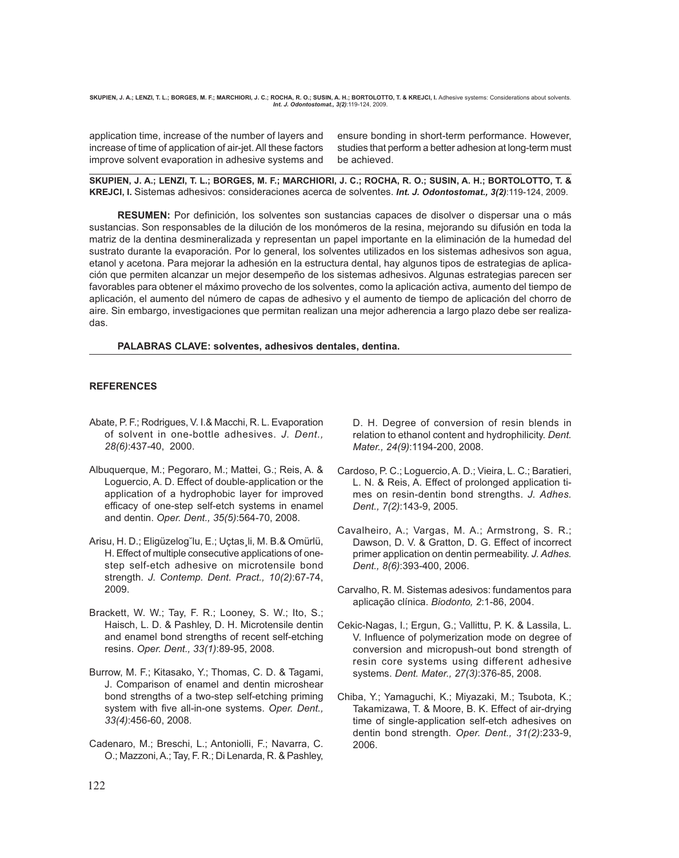SKUPIEN, J. A.; LENZI, T. L.; BORGES, M. F.; MARCHIORI, J. C.; ROCHA, R. O.; SUSIN, A. H.; BORTOLOTTO, T. & KREJCI, I. Adhesive systems: Considerations about solvents *Int. J. Odontostomat., 3(2)*:119-124, 2009.

application time, increase of the number of layers and increase of time of application of air-jet. All these factors improve solvent evaporation in adhesive systems and ensure bonding in short-term performance. However, studies that perform a better adhesion at long-term must be achieved.

**SKUPIEN, J. A.; LENZI, T. L.; BORGES, M. F.; MARCHIORI, J. C.; ROCHA, R. O.; SUSIN, A. H.; BORTOLOTTO, T. & KREJCI, I.** Sistemas adhesivos: consideraciones acerca de solventes. *Int. J. Odontostomat., 3(2)*:119-124, 2009.

**RESUMEN:** Por definición, los solventes son sustancias capaces de disolver o dispersar una o más sustancias. Son responsables de la dilución de los monómeros de la resina, mejorando su difusión en toda la matriz de la dentina desmineralizada y representan un papel importante en la eliminación de la humedad del sustrato durante la evaporación. Por lo general, los solventes utilizados en los sistemas adhesivos son agua, etanol y acetona. Para mejorar la adhesión en la estructura dental, hay algunos tipos de estrategias de aplicación que permiten alcanzar un mejor desempeño de los sistemas adhesivos. Algunas estrategias parecen ser favorables para obtener el máximo provecho de los solventes, como la aplicación activa, aumento del tiempo de aplicación, el aumento del número de capas de adhesivo y el aumento de tiempo de aplicación del chorro de aire. Sin embargo, investigaciones que permitan realizan una mejor adherencia a largo plazo debe ser realizadas.

**PALABRAS CLAVE: solventes, adhesivos dentales, dentina.**

## **REFERENCES**

- Abate, P. F.; Rodrigues, V. I.& Macchi, R. L. Evaporation of solvent in one-bottle adhesives. *J. Dent., 28(6)*:437-40, 2000.
- Albuquerque, M.; Pegoraro, M.; Mattei, G.; Reis, A. & Loguercio, A. D. Effect of double-application or the application of a hydrophobic layer for improved efficacy of one-step self-etch systems in enamel and dentin. *Oper. Dent., 35(5)*:564-70, 2008.
- Arisu, H. D.; Eligüzelog˘lu, E.; Uçtas¸li, M. B.& Omürlü, H. Effect of multiple consecutive applications of onestep self-etch adhesive on microtensile bond strength. *J. Contemp. Dent. Pract., 10(2)*:67-74, 2009.
- Brackett, W. W.; Tay, F. R.; Looney, S. W.; Ito, S.; Haisch, L. D. & Pashley, D. H. Microtensile dentin and enamel bond strengths of recent self-etching resins. *Oper. Dent., 33(1)*:89-95, 2008.
- Burrow, M. F.; Kitasako, Y.; Thomas, C. D. & Tagami, J. Comparison of enamel and dentin microshear bond strengths of a two-step self-etching priming system with five all-in-one systems. *Oper. Dent., 33(4)*:456-60, 2008.
- Cadenaro, M.; Breschi, L.; Antoniolli, F.; Navarra, C. O.; Mazzoni, A.; Tay, F. R.; Di Lenarda, R. & Pashley,

D. H. Degree of conversion of resin blends in relation to ethanol content and hydrophilicity. *Dent. Mater., 24(9)*:1194-200, 2008.

- Cardoso, P. C.; Loguercio, A. D.; Vieira, L. C.; Baratieri, L. N. & Reis, A. Effect of prolonged application times on resin-dentin bond strengths. *J. Adhes. Dent., 7(2)*:143-9, 2005.
- Cavalheiro, A.; Vargas, M. A.; Armstrong, S. R.; Dawson, D. V. & Gratton, D. G. Effect of incorrect primer application on dentin permeability. *J. Adhes. Dent., 8(6)*:393-400, 2006.
- Carvalho, R. M. Sistemas adesivos: fundamentos para aplicação clínica. *Biodonto, 2*:1-86, 2004.
- Cekic-Nagas, I.; Ergun, G.; Vallittu, P. K. & Lassila, L. V. Influence of polymerization mode on degree of conversion and micropush-out bond strength of resin core systems using different adhesive systems. *Dent. Mater., 27(3)*:376-85, 2008.
- Chiba, Y.; Yamaguchi, K.; Miyazaki, M.; Tsubota, K.; Takamizawa, T. & Moore, B. K. Effect of air-drying time of single-application self-etch adhesives on dentin bond strength. *Oper. Dent., 31(2)*:233-9, 2006.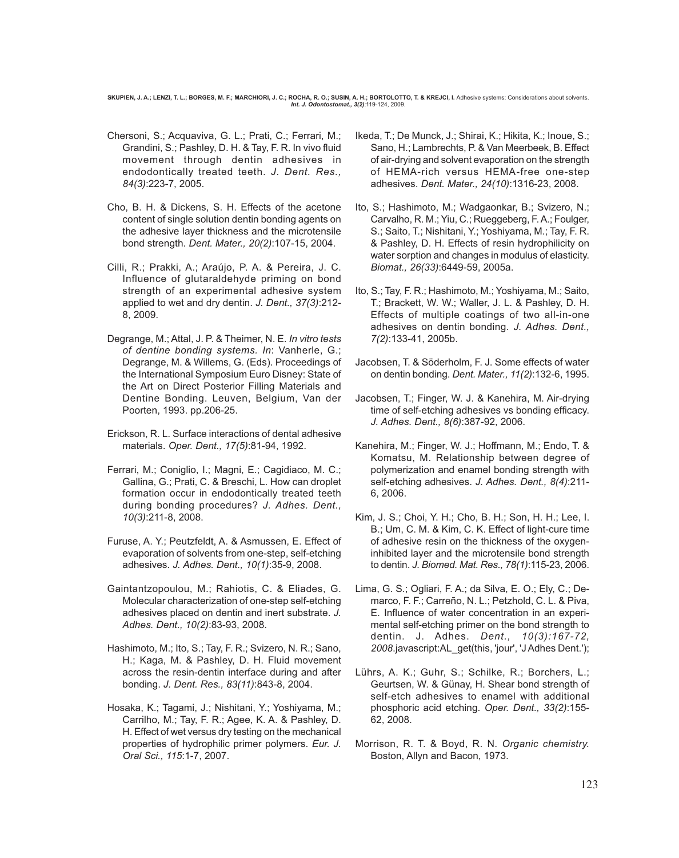SKUPIEN, J. A.; LENZI, T. L.; BORGES, M. F.; MARCHIORI, J. C.; ROCHA, R. O.; SUSIN, A. H.; BORTOLOTTO, T. & KREJCI, I. Adhesive systems: Considerations about solvents *Int. J. Odontostomat., 3(2)*:119-124, 2009.

- Chersoni, S.; Acquaviva, G. L.; Prati, C.; Ferrari, M.; Grandini, S.; Pashley, D. H. & Tay, F. R. In vivo fluid movement through dentin adhesives in endodontically treated teeth. *J. Dent. Res., 84(3)*:223-7, 2005.
- Cho, B. H. & Dickens, S. H. Effects of the acetone content of single solution dentin bonding agents on the adhesive layer thickness and the microtensile bond strength. *Dent. Mater., 20(2)*:107-15, 2004.
- Cilli, R.; Prakki, A.; Araújo, P. A. & Pereira, J. C. Influence of glutaraldehyde priming on bond strength of an experimental adhesive system applied to wet and dry dentin. *J. Dent., 37(3)*:212- 8, 2009.
- Degrange, M.; Attal, J. P. & Theimer, N. E. *In vitro tests of dentine bonding systems. In*: Vanherle, G.; Degrange, M. & Willems, G. (Eds). Proceedings of the International Symposium Euro Disney: State of the Art on Direct Posterior Filling Materials and Dentine Bonding. Leuven, Belgium, Van der Poorten, 1993. pp.206-25.
- Erickson, R. L. Surface interactions of dental adhesive materials. *Oper. Dent., 17(5)*:81-94, 1992.
- Ferrari, M.; Coniglio, I.; Magni, E.; Cagidiaco, M. C.; Gallina, G.; Prati, C. & Breschi, L. How can droplet formation occur in endodontically treated teeth during bonding procedures? *J. Adhes. Dent., 10(3)*:211-8, 2008.
- Furuse, A. Y.; Peutzfeldt, A. & Asmussen, E. Effect of evaporation of solvents from one-step, self-etching adhesives. *J. Adhes. Dent., 10(1)*:35-9, 2008.
- Gaintantzopoulou, M.; Rahiotis, C. & Eliades, G. Molecular characterization of one-step self-etching adhesives placed on dentin and inert substrate. *J. Adhes. Dent., 10(2)*:83-93, 2008.
- Hashimoto, M.; Ito, S.; Tay, F. R.; Svizero, N. R.; Sano, H.; Kaga, M. & Pashley, D. H. Fluid movement across the resin-dentin interface during and after bonding. *J. Dent. Res., 83(11)*:843-8, 2004.
- Hosaka, K.; Tagami, J.; Nishitani, Y.; Yoshiyama, M.; Carrilho, M.; Tay, F. R.; Agee, K. A. & Pashley, D. H. Effect of wet versus dry testing on the mechanical properties of hydrophilic primer polymers. *Eur. J. Oral Sci., 115*:1-7, 2007.
- Ikeda, T.; De Munck, J.; Shirai, K.; Hikita, K.; Inoue, S.; Sano, H.; Lambrechts, P. & Van Meerbeek, B. Effect of air-drying and solvent evaporation on the strength of HEMA-rich versus HEMA-free one-step adhesives. *Dent. Mater., 24(10)*:1316-23, 2008.
- Ito, S.; Hashimoto, M.; Wadgaonkar, B.; Svizero, N.; Carvalho, R. M.; Yiu, C.; Rueggeberg, F. A.; Foulger, S.; Saito, T.; Nishitani, Y.; Yoshiyama, M.; Tay, F. R. & Pashley, D. H. Effects of resin hydrophilicity on water sorption and changes in modulus of elasticity. *Biomat., 26(33)*:6449-59, 2005a.
- Ito, S.; Tay, F. R.; Hashimoto, M.; Yoshiyama, M.; Saito, T.; Brackett, W. W.; Waller, J. L. & Pashley, D. H. Effects of multiple coatings of two all-in-one adhesives on dentin bonding. *J. Adhes. Dent., 7(2)*:133-41, 2005b.
- Jacobsen, T. & Söderholm, F. J. Some effects of water on dentin bonding. *Dent. Mater., 11(2)*:132-6, 1995.
- Jacobsen, T.; Finger, W. J. & Kanehira, M. Air-drying time of self-etching adhesives vs bonding efficacy. *J. Adhes. Dent., 8(6)*:387-92, 2006.
- Kanehira, M.; Finger, W. J.; Hoffmann, M.; Endo, T. & Komatsu, M. Relationship between degree of polymerization and enamel bonding strength with self-etching adhesives. *J. Adhes. Dent., 8(4)*:211- 6, 2006.
- Kim, J. S.; Choi, Y. H.; Cho, B. H.; Son, H. H.; Lee, I. B.; Um, C. M. & Kim, C. K. Effect of light-cure time of adhesive resin on the thickness of the oxygeninhibited layer and the microtensile bond strength to dentin. *J. Biomed. Mat. Res., 78(1)*:115-23, 2006.
- Lima, G. S.; Ogliari, F. A.; da Silva, E. O.; Ely, C.; Demarco, F. F.; Carreño, N. L.; Petzhold, C. L. & Piva, E. Influence of water concentration in an experimental self-etching primer on the bond strength to dentin. J. Adhes. *Dent., 10(3):167-72, 2008*.javascript:AL\_get(this, 'jour', 'J Adhes Dent.');
- Lührs, A. K.; Guhr, S.; Schilke, R.; Borchers, L.; Geurtsen, W. & Günay, H. Shear bond strength of self-etch adhesives to enamel with additional phosphoric acid etching. *Oper. Dent., 33(2)*:155- 62, 2008.
- Morrison, R. T. & Boyd, R. N. *Organic chemistry.* Boston, Allyn and Bacon, 1973.